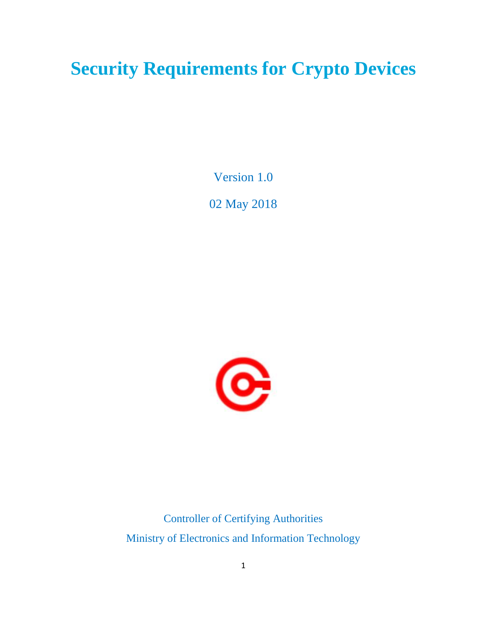# **Security Requirements for Crypto Devices**

Version 1.0

02 May 2018



Controller of Certifying Authorities Ministry of Electronics and Information Technology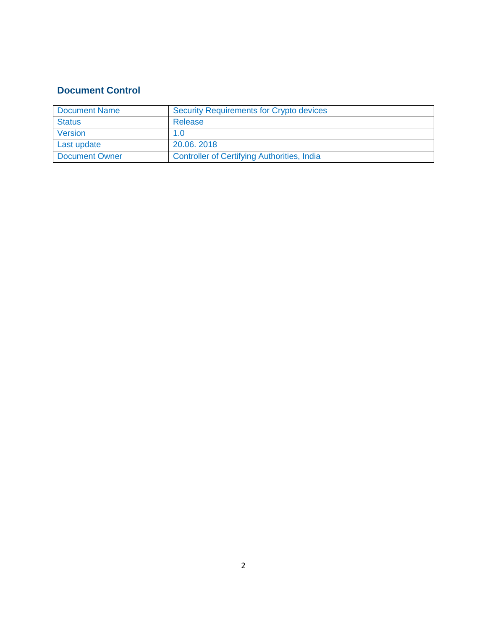# **Document Control**

| Document Name  | <b>Security Requirements for Crypto devices</b>    |
|----------------|----------------------------------------------------|
| <b>Status</b>  | Release                                            |
| Version        | 1.0                                                |
| Last update    | 20.06, 2018                                        |
| Document Owner | <b>Controller of Certifying Authorities, India</b> |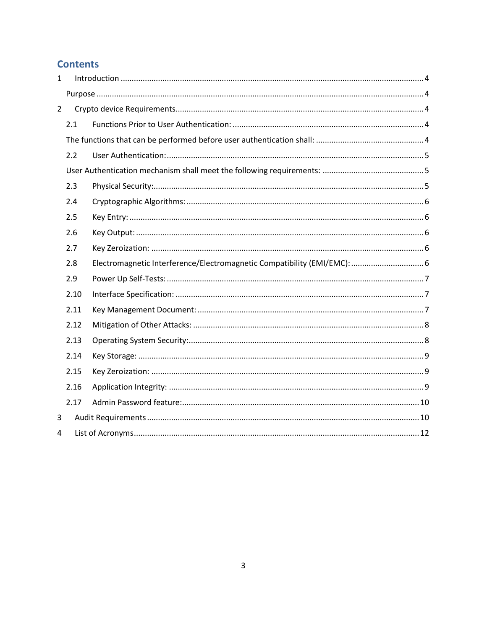# **Contents**

| $\mathbf{1}$   |      |                                                                          |  |  |  |
|----------------|------|--------------------------------------------------------------------------|--|--|--|
|                |      |                                                                          |  |  |  |
| $\overline{2}$ |      |                                                                          |  |  |  |
|                | 2.1  |                                                                          |  |  |  |
|                |      |                                                                          |  |  |  |
|                | 2.2  |                                                                          |  |  |  |
|                |      |                                                                          |  |  |  |
| 2.3            |      |                                                                          |  |  |  |
|                | 2.4  |                                                                          |  |  |  |
|                | 2.5  |                                                                          |  |  |  |
|                | 2.6  |                                                                          |  |  |  |
|                | 2.7  |                                                                          |  |  |  |
|                | 2.8  | Electromagnetic Interference/Electromagnetic Compatibility (EMI/EMC):  6 |  |  |  |
|                | 2.9  |                                                                          |  |  |  |
|                | 2.10 |                                                                          |  |  |  |
|                | 2.11 |                                                                          |  |  |  |
|                | 2.12 |                                                                          |  |  |  |
| 2.13           |      |                                                                          |  |  |  |
| 2.14           |      |                                                                          |  |  |  |
|                | 2.15 |                                                                          |  |  |  |
|                | 2.16 |                                                                          |  |  |  |
|                | 2.17 |                                                                          |  |  |  |
| 3              |      |                                                                          |  |  |  |
| 4              |      |                                                                          |  |  |  |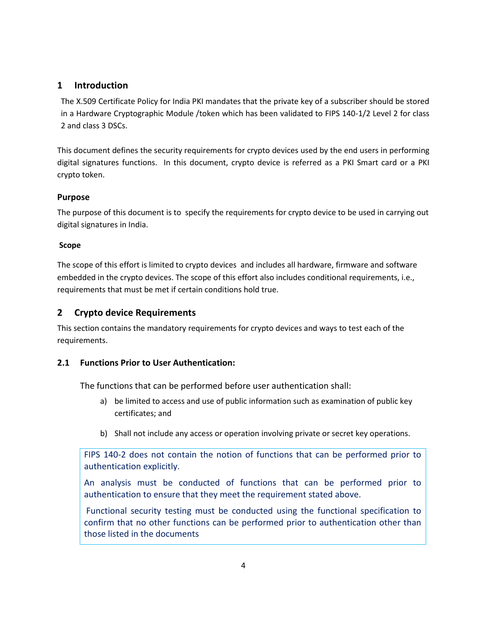# <span id="page-3-0"></span>**1 Introduction**

The X.509 Certificate Policy for India PKI mandates that the private key of a subscriber should be stored in a Hardware Cryptographic Module /token which has been validated to FIPS 140-1/2 Level 2 for class 2 and class 3 DSCs.

This document defines the security requirements for crypto devices used by the end users in performing digital signatures functions. In this document, crypto device is referred as a PKI Smart card or a PKI crypto token.

### <span id="page-3-1"></span>**Purpose**

The purpose of this document is to specify the requirements for crypto device to be used in carrying out digital signatures in India.

### **Scope**

The scope of this effort is limited to crypto devices and includes all hardware, firmware and software embedded in the crypto devices. The scope of this effort also includes conditional requirements, i.e., requirements that must be met if certain conditions hold true.

# <span id="page-3-2"></span>**2 Crypto device Requirements**

This section contains the mandatory requirements for crypto devices and ways to test each of the requirements.

## <span id="page-3-4"></span><span id="page-3-3"></span>**2.1 Functions Prior to User Authentication:**

The functions that can be performed before user authentication shall:

- a) be limited to access and use of public information such as examination of public key certificates; and
- b) Shall not include any access or operation involving private or secret key operations.

FIPS 140-2 does not contain the notion of functions that can be performed prior to authentication explicitly.

An analysis must be conducted of functions that can be performed prior to authentication to ensure that they meet the requirement stated above.

Functional security testing must be conducted using the functional specification to confirm that no other functions can be performed prior to authentication other than those listed in the documents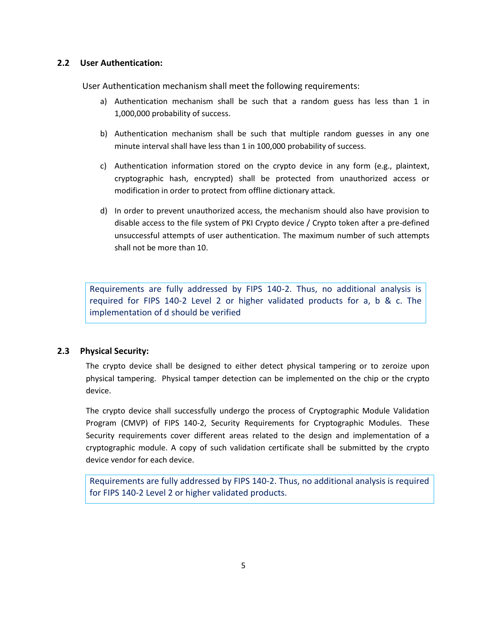#### <span id="page-4-0"></span>**2.2 User Authentication:**

<span id="page-4-1"></span>User Authentication mechanism shall meet the following requirements:

- a) Authentication mechanism shall be such that a random guess has less than 1 in 1,000,000 probability of success.
- b) Authentication mechanism shall be such that multiple random guesses in any one minute interval shall have less than 1 in 100,000 probability of success.
- c) Authentication information stored on the crypto device in any form (e.g., plaintext, cryptographic hash, encrypted) shall be protected from unauthorized access or modification in order to protect from offline dictionary attack.
- d) In order to prevent unauthorized access, the mechanism should also have provision to disable access to the file system of PKI Crypto device / Crypto token after a pre-defined unsuccessful attempts of user authentication. The maximum number of such attempts shall not be more than 10.

Requirements are fully addressed by FIPS 140-2. Thus, no additional analysis is required for FIPS 140-2 Level 2 or higher validated products for a, b & c. The implementation of d should be verified

## <span id="page-4-2"></span>**2.3 Physical Security:**

The crypto device shall be designed to either detect physical tampering or to zeroize upon physical tampering. Physical tamper detection can be implemented on the chip or the crypto device.

The crypto device shall successfully undergo the process of Cryptographic Module Validation Program (CMVP) of FIPS 140-2, Security Requirements for Cryptographic Modules. These Security requirements cover different areas related to the design and implementation of a cryptographic module. A copy of such validation certificate shall be submitted by the crypto device vendor for each device.

Requirements are fully addressed by FIPS 140-2. Thus, no additional analysis is required for FIPS 140-2 Level 2 or higher validated products.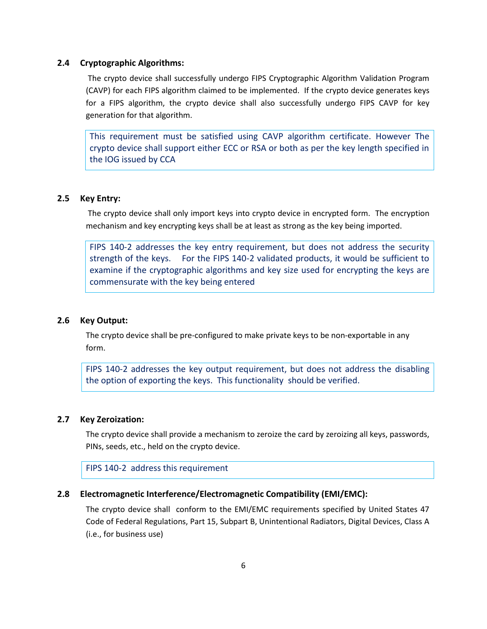#### <span id="page-5-0"></span>**2.4 Cryptographic Algorithms:**

The crypto device shall successfully undergo FIPS Cryptographic Algorithm Validation Program (CAVP) for each FIPS algorithm claimed to be implemented. If the crypto device generates keys for a FIPS algorithm, the crypto device shall also successfully undergo FIPS CAVP for key generation for that algorithm.

This requirement must be satisfied using CAVP algorithm certificate. However The crypto device shall support either ECC or RSA or both as per the key length specified in the IOG issued by CCA

#### <span id="page-5-1"></span>**2.5 Key Entry:**

The crypto device shall only import keys into crypto device in encrypted form. The encryption mechanism and key encrypting keys shall be at least as strong as the key being imported.

FIPS 140-2 addresses the key entry requirement, but does not address the security strength of the keys. For the FIPS 140-2 validated products, it would be sufficient to examine if the cryptographic algorithms and key size used for encrypting the keys are commensurate with the key being entered

#### <span id="page-5-2"></span>**2.6 Key Output:**

The crypto device shall be pre-configured to make private keys to be non-exportable in any form.

FIPS 140-2 addresses the key output requirement, but does not address the disabling the option of exporting the keys. This functionality should be verified.

#### <span id="page-5-3"></span>**2.7 Key Zeroization:**

The crypto device shall provide a mechanism to zeroize the card by zeroizing all keys, passwords, PINs, seeds, etc., held on the crypto device.

FIPS 140-2 address this requirement

#### <span id="page-5-4"></span>**2.8 Electromagnetic Interference/Electromagnetic Compatibility (EMI/EMC):**

The crypto device shall conform to the EMI/EMC requirements specified by United States 47 Code of Federal Regulations, Part 15, Subpart B, Unintentional Radiators, Digital Devices, Class A (i.e., for business use)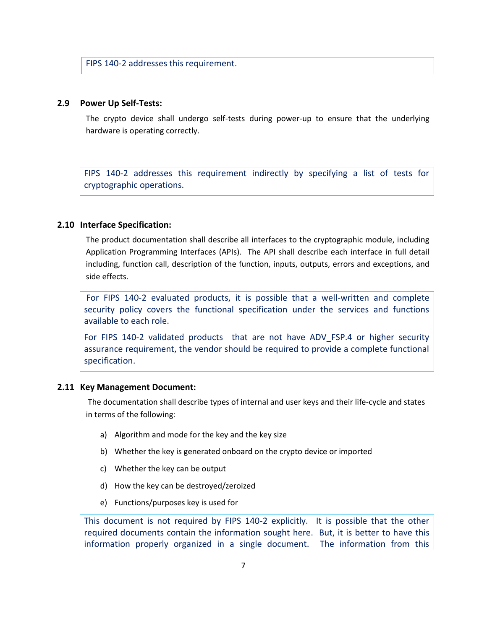FIPS 140-2 addresses this requirement.

#### <span id="page-6-0"></span>**2.9 Power Up Self-Tests:**

The crypto device shall undergo self-tests during power-up to ensure that the underlying hardware is operating correctly.

FIPS 140-2 addresses this requirement indirectly by specifying a list of tests for cryptographic operations.

#### <span id="page-6-1"></span>**2.10 Interface Specification:**

The product documentation shall describe all interfaces to the cryptographic module, including Application Programming Interfaces (APIs). The API shall describe each interface in full detail including, function call, description of the function, inputs, outputs, errors and exceptions, and side effects.

For FIPS 140-2 evaluated products, it is possible that a well-written and complete security policy covers the functional specification under the services and functions available to each role.

For FIPS 140-2 validated products that are not have ADV FSP.4 or higher security assurance requirement, the vendor should be required to provide a complete functional specification.

#### <span id="page-6-2"></span>**2.11 Key Management Document:**

The documentation shall describe types of internal and user keys and their life-cycle and states in terms of the following:

- a) Algorithm and mode for the key and the key size
- b) Whether the key is generated onboard on the crypto device or imported
- c) Whether the key can be output
- d) How the key can be destroyed/zeroized
- e) Functions/purposes key is used for

This document is not required by FIPS 140-2 explicitly. It is possible that the other required documents contain the information sought here. But, it is better to have this information properly organized in a single document. The information from this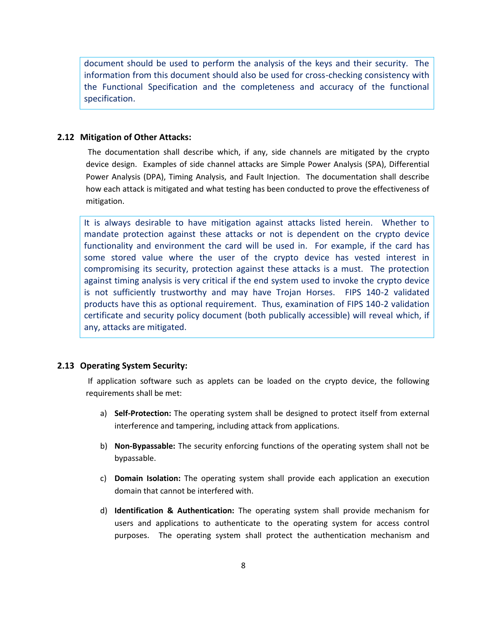document should be used to perform the analysis of the keys and their security. The information from this document should also be used for cross-checking consistency with the Functional Specification and the completeness and accuracy of the functional specification.

#### <span id="page-7-0"></span>**2.12 Mitigation of Other Attacks:**

The documentation shall describe which, if any, side channels are mitigated by the crypto device design. Examples of side channel attacks are Simple Power Analysis (SPA), Differential Power Analysis (DPA), Timing Analysis, and Fault Injection. The documentation shall describe how each attack is mitigated and what testing has been conducted to prove the effectiveness of mitigation.

It is always desirable to have mitigation against attacks listed herein. Whether to mandate protection against these attacks or not is dependent on the crypto device functionality and environment the card will be used in. For example, if the card has some stored value where the user of the crypto device has vested interest in compromising its security, protection against these attacks is a must. The protection against timing analysis is very critical if the end system used to invoke the crypto device is not sufficiently trustworthy and may have Trojan Horses. FIPS 140-2 validated products have this as optional requirement. Thus, examination of FIPS 140-2 validation certificate and security policy document (both publically accessible) will reveal which, if any, attacks are mitigated.

#### <span id="page-7-1"></span>**2.13 Operating System Security:**

If application software such as applets can be loaded on the crypto device, the following requirements shall be met:

- a) **Self-Protection:** The operating system shall be designed to protect itself from external interference and tampering, including attack from applications.
- b) **Non-Bypassable:** The security enforcing functions of the operating system shall not be bypassable.
- c) **Domain Isolation:** The operating system shall provide each application an execution domain that cannot be interfered with.
- d) **Identification & Authentication:** The operating system shall provide mechanism for users and applications to authenticate to the operating system for access control purposes. The operating system shall protect the authentication mechanism and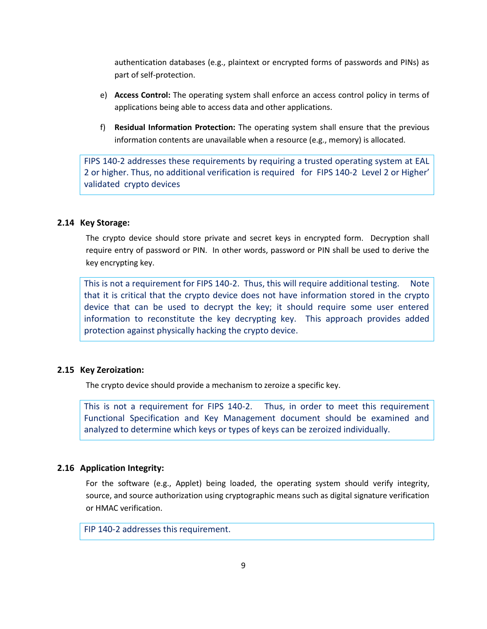authentication databases (e.g., plaintext or encrypted forms of passwords and PINs) as part of self-protection.

- e) **Access Control:** The operating system shall enforce an access control policy in terms of applications being able to access data and other applications.
- f) **Residual Information Protection:** The operating system shall ensure that the previous information contents are unavailable when a resource (e.g., memory) is allocated.

FIPS 140-2 addresses these requirements by requiring a trusted operating system at EAL 2 or higher. Thus, no additional verification is required for FIPS 140-2 Level 2 or Higher' validated crypto devices

### <span id="page-8-0"></span>**2.14 Key Storage:**

The crypto device should store private and secret keys in encrypted form. Decryption shall require entry of password or PIN. In other words, password or PIN shall be used to derive the key encrypting key.

This is not a requirement for FIPS 140-2. Thus, this will require additional testing. Note that it is critical that the crypto device does not have information stored in the crypto device that can be used to decrypt the key; it should require some user entered information to reconstitute the key decrypting key. This approach provides added protection against physically hacking the crypto device.

#### <span id="page-8-1"></span>**2.15 Key Zeroization:**

The crypto device should provide a mechanism to zeroize a specific key.

This is not a requirement for FIPS 140-2. Thus, in order to meet this requirement Functional Specification and Key Management document should be examined and analyzed to determine which keys or types of keys can be zeroized individually.

#### <span id="page-8-2"></span>**2.16 Application Integrity:**

For the software (e.g., Applet) being loaded, the operating system should verify integrity, source, and source authorization using cryptographic means such as digital signature verification or HMAC verification.

FIP 140-2 addresses this requirement.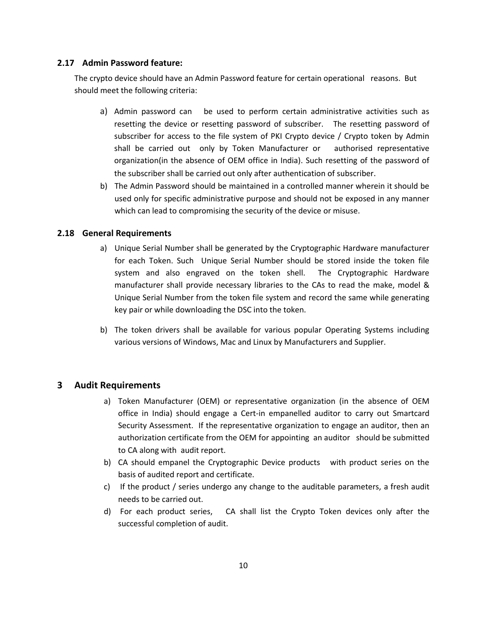#### **2.17 Admin Password feature:**

<span id="page-9-0"></span>The crypto device should have an Admin Password feature for certain operational reasons. But should meet the following criteria:

- a) Admin password can be used to perform certain administrative activities such as resetting the device or resetting password of subscriber. The resetting password of subscriber for access to the file system of PKI Crypto device / Crypto token by Admin shall be carried out only by Token Manufacturer or authorised representative organization(in the absence of OEM office in India). Such resetting of the password of the subscriber shall be carried out only after authentication of subscriber.
- b) The Admin Password should be maintained in a controlled manner wherein it should be used only for specific administrative purpose and should not be exposed in any manner which can lead to compromising the security of the device or misuse.

#### **2.18 General Requirements**

- a) Unique Serial Number shall be generated by the Cryptographic Hardware manufacturer for each Token. Such Unique Serial Number should be stored inside the token file system and also engraved on the token shell. The Cryptographic Hardware manufacturer shall provide necessary libraries to the CAs to read the make, model & Unique Serial Number from the token file system and record the same while generating key pair or while downloading the DSC into the token.
- b) The token drivers shall be available for various popular Operating Systems including various versions of Windows, Mac and Linux by Manufacturers and Supplier.

#### <span id="page-9-1"></span>**3 Audit Requirements**

- a) Token Manufacturer (OEM) or representative organization (in the absence of OEM office in India) should engage a Cert-in empanelled auditor to carry out Smartcard Security Assessment. If the representative organization to engage an auditor, then an authorization certificate from the OEM for appointing an auditor should be submitted to CA along with audit report.
- b) CA should empanel the Cryptographic Device products with product series on the basis of audited report and certificate.
- c) If the product / series undergo any change to the auditable parameters, a fresh audit needs to be carried out.
- d) For each product series, CA shall list the Crypto Token devices only after the successful completion of audit.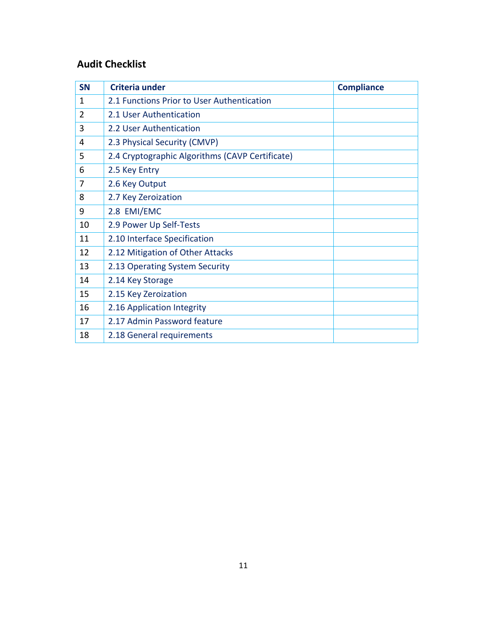# **Audit Checklist**

| <b>SN</b> | Criteria under                                  | <b>Compliance</b> |  |  |
|-----------|-------------------------------------------------|-------------------|--|--|
| 1         | 2.1 Functions Prior to User Authentication      |                   |  |  |
| 2         | 2.1 User Authentication                         |                   |  |  |
| 3         | 2.2 User Authentication                         |                   |  |  |
| 4         | 2.3 Physical Security (CMVP)                    |                   |  |  |
| 5         | 2.4 Cryptographic Algorithms (CAVP Certificate) |                   |  |  |
| 6         | 2.5 Key Entry                                   |                   |  |  |
| 7         | 2.6 Key Output                                  |                   |  |  |
| 8         | 2.7 Key Zeroization                             |                   |  |  |
| 9         | 2.8 EMI/EMC                                     |                   |  |  |
| 10        | 2.9 Power Up Self-Tests                         |                   |  |  |
| 11        | 2.10 Interface Specification                    |                   |  |  |
| 12        | 2.12 Mitigation of Other Attacks                |                   |  |  |
| 13        | 2.13 Operating System Security                  |                   |  |  |
| 14        | 2.14 Key Storage                                |                   |  |  |
| 15        | 2.15 Key Zeroization                            |                   |  |  |
| 16        | 2.16 Application Integrity                      |                   |  |  |
| 17        | 2.17 Admin Password feature                     |                   |  |  |
| 18        | 2.18 General requirements                       |                   |  |  |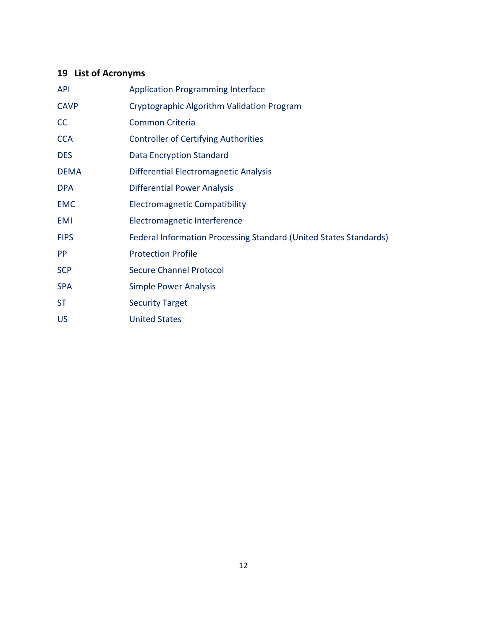# <span id="page-11-0"></span>**19 List of Acronyms**

| <b>API</b>  | <b>Application Programming Interface</b>                          |  |  |
|-------------|-------------------------------------------------------------------|--|--|
| <b>CAVP</b> | Cryptographic Algorithm Validation Program                        |  |  |
| CC          | <b>Common Criteria</b>                                            |  |  |
| <b>CCA</b>  | <b>Controller of Certifying Authorities</b>                       |  |  |
| <b>DES</b>  | <b>Data Encryption Standard</b>                                   |  |  |
| <b>DEMA</b> | Differential Electromagnetic Analysis                             |  |  |
| <b>DPA</b>  | <b>Differential Power Analysis</b>                                |  |  |
| <b>EMC</b>  | <b>Electromagnetic Compatibility</b>                              |  |  |
| <b>EMI</b>  | Electromagnetic Interference                                      |  |  |
| <b>FIPS</b> | Federal Information Processing Standard (United States Standards) |  |  |
| PP.         | <b>Protection Profile</b>                                         |  |  |
| <b>SCP</b>  | <b>Secure Channel Protocol</b>                                    |  |  |
| <b>SPA</b>  | <b>Simple Power Analysis</b>                                      |  |  |
| <b>ST</b>   | <b>Security Target</b>                                            |  |  |
| <b>US</b>   | <b>United States</b>                                              |  |  |